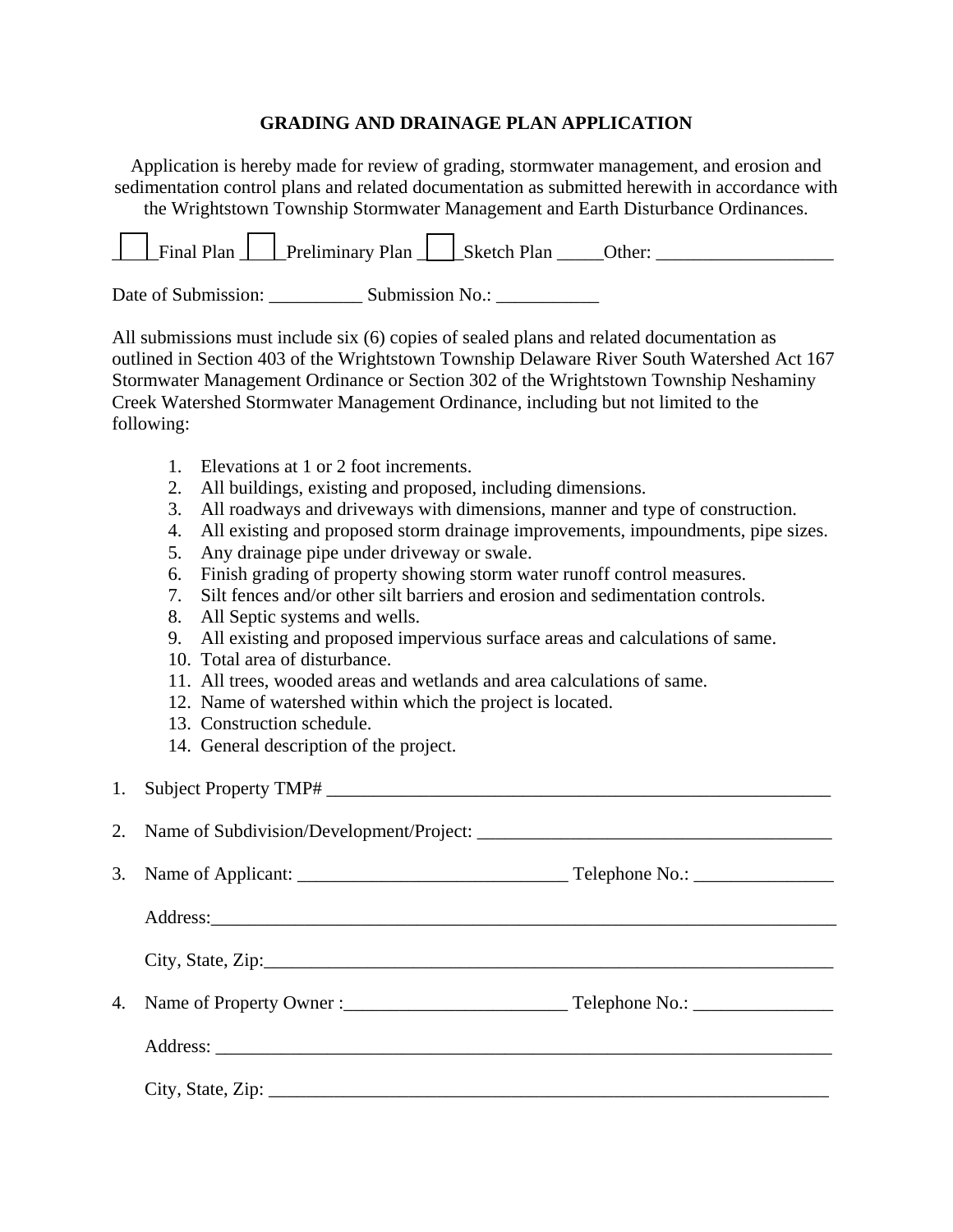# **GRADING AND DRAINAGE PLAN APPLICATION**

Application is hereby made for review of grading, stormwater management, and erosion and sedimentation control plans and related documentation as submitted herewith in accordance with the Wrightstown Township Stormwater Management and Earth Disturbance Ordinances.

Date of Submission: \_\_\_\_\_\_\_\_\_\_ Submission No.: \_\_\_\_\_\_\_\_\_\_\_

All submissions must include six (6) copies of sealed plans and related documentation as outlined in Section 403 of the Wrightstown Township Delaware River South Watershed Act 167 Stormwater Management Ordinance or Section 302 of the Wrightstown Township Neshaminy Creek Watershed Stormwater Management Ordinance, including but not limited to the following:

- 1. Elevations at 1 or 2 foot increments.
- 2. All buildings, existing and proposed, including dimensions.
- 3. All roadways and driveways with dimensions, manner and type of construction.
- 4. All existing and proposed storm drainage improvements, impoundments, pipe sizes.
- 5. Any drainage pipe under driveway or swale.
- 6. Finish grading of property showing storm water runoff control measures.
- 7. Silt fences and/or other silt barriers and erosion and sedimentation controls.
- 8. All Septic systems and wells.
- 9. All existing and proposed impervious surface areas and calculations of same.
- 10. Total area of disturbance.
- 11. All trees, wooded areas and wetlands and area calculations of same.
- 12. Name of watershed within which the project is located.
- 13. Construction schedule.
- 14. General description of the project.

1. Subject Property TMP# \_\_\_\_\_\_\_\_\_\_\_\_\_\_\_\_\_\_\_\_\_\_\_\_\_\_\_\_\_\_\_\_\_\_\_\_\_\_\_\_\_\_\_\_\_\_\_\_\_\_\_\_\_\_

2. Name of Subdivision/Development/Project:

3. Name of Applicant: \_\_\_\_\_\_\_\_\_\_\_\_\_\_\_\_\_\_\_\_\_\_\_\_\_\_\_\_\_ Telephone No.: \_\_\_\_\_\_\_\_\_\_\_\_\_\_\_

Address:

 $City, State, Zip:$ 

4. Name of Property Owner : Telephone No.:

Address:

 $City, State, Zip: \_\_$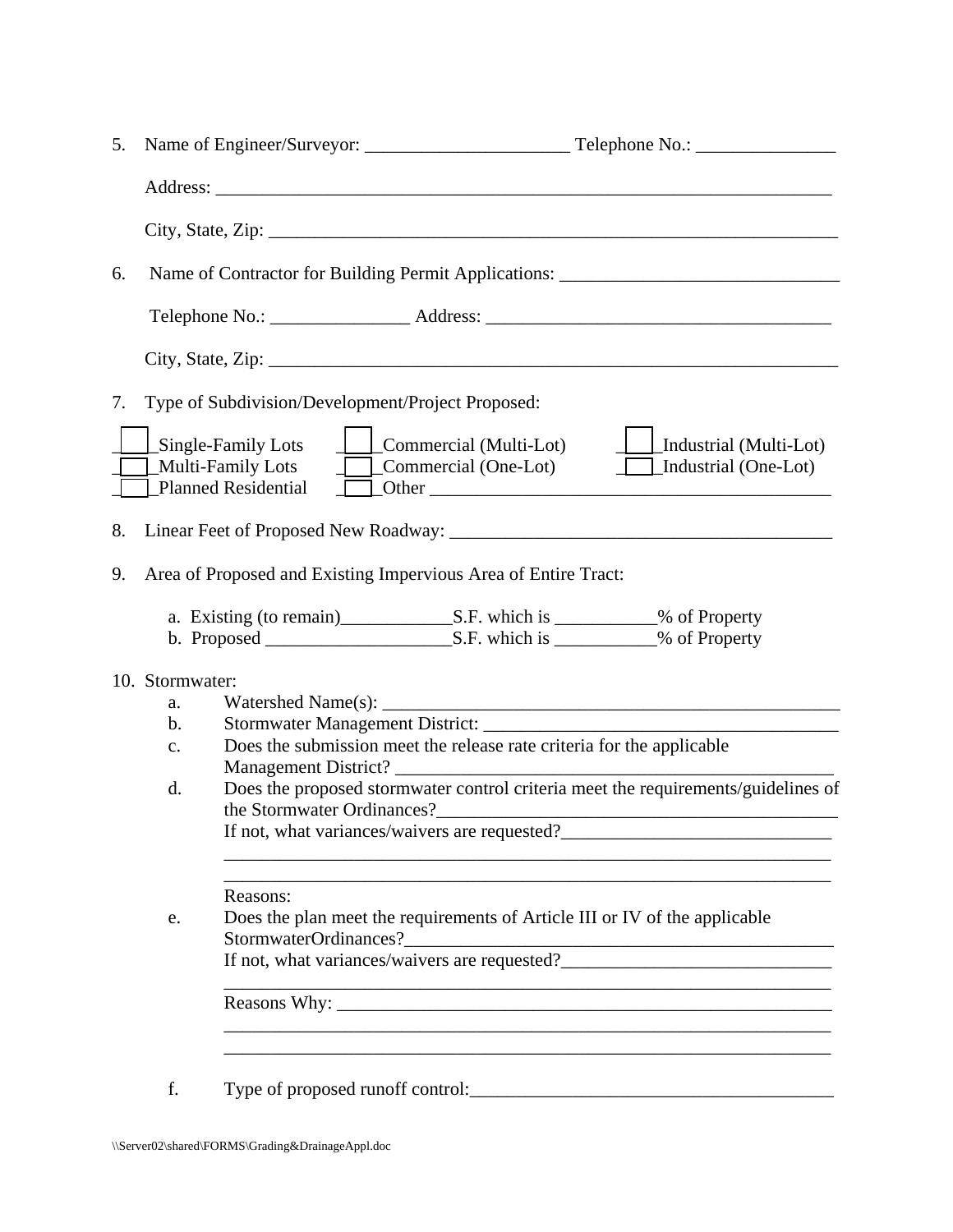| 5. |                                                                                                                                                                                            |                                                                                              |  |                                                                                                              |  |  |  |  |
|----|--------------------------------------------------------------------------------------------------------------------------------------------------------------------------------------------|----------------------------------------------------------------------------------------------|--|--------------------------------------------------------------------------------------------------------------|--|--|--|--|
|    |                                                                                                                                                                                            |                                                                                              |  |                                                                                                              |  |  |  |  |
|    |                                                                                                                                                                                            |                                                                                              |  |                                                                                                              |  |  |  |  |
| 6. |                                                                                                                                                                                            |                                                                                              |  | Name of Contractor for Building Permit Applications: ____________________________                            |  |  |  |  |
|    |                                                                                                                                                                                            |                                                                                              |  |                                                                                                              |  |  |  |  |
|    |                                                                                                                                                                                            |                                                                                              |  |                                                                                                              |  |  |  |  |
| 7. |                                                                                                                                                                                            | Type of Subdivision/Development/Project Proposed:                                            |  |                                                                                                              |  |  |  |  |
|    |                                                                                                                                                                                            | $\Box$ Single-Family Lots $\Box$ $\Box$ Commercial (Multi-Lot)<br><b>Planned Residential</b> |  | Industrial (Multi-Lot)<br>Multi-Family Lots <u>Commercial</u> (One-Lot) Industrial (One-Lot)<br>$\Box$ Other |  |  |  |  |
| 8. |                                                                                                                                                                                            |                                                                                              |  |                                                                                                              |  |  |  |  |
| 9. |                                                                                                                                                                                            | Area of Proposed and Existing Impervious Area of Entire Tract:                               |  |                                                                                                              |  |  |  |  |
|    |                                                                                                                                                                                            |                                                                                              |  |                                                                                                              |  |  |  |  |
|    |                                                                                                                                                                                            |                                                                                              |  |                                                                                                              |  |  |  |  |
|    | 10. Stormwater:<br>a.                                                                                                                                                                      |                                                                                              |  |                                                                                                              |  |  |  |  |
|    | b.<br>c.                                                                                                                                                                                   | Does the submission meet the release rate criteria for the applicable                        |  |                                                                                                              |  |  |  |  |
|    |                                                                                                                                                                                            |                                                                                              |  |                                                                                                              |  |  |  |  |
|    | Does the proposed stormwater control criteria meet the requirements/guidelines of<br>d.<br>the Stormwater Ordinances?<br><u> 1980 - Johann John Stone, mars eta biztanleria (h. 1980).</u> |                                                                                              |  |                                                                                                              |  |  |  |  |
|    | If not, what variances/waivers are requested?                                                                                                                                              |                                                                                              |  |                                                                                                              |  |  |  |  |
|    | e.                                                                                                                                                                                         | Reasons:                                                                                     |  |                                                                                                              |  |  |  |  |
|    | Does the plan meet the requirements of Article III or IV of the applicable<br><u> 1980 - Jan James James Barnett, amerikan bizko hamarkada (h. 1980).</u>                                  |                                                                                              |  |                                                                                                              |  |  |  |  |
|    |                                                                                                                                                                                            | StormwaterOrdinances?                                                                        |  | If not, what variances/waivers are requested?___________________________________                             |  |  |  |  |
|    |                                                                                                                                                                                            |                                                                                              |  |                                                                                                              |  |  |  |  |
|    |                                                                                                                                                                                            |                                                                                              |  |                                                                                                              |  |  |  |  |
|    | f.                                                                                                                                                                                         |                                                                                              |  |                                                                                                              |  |  |  |  |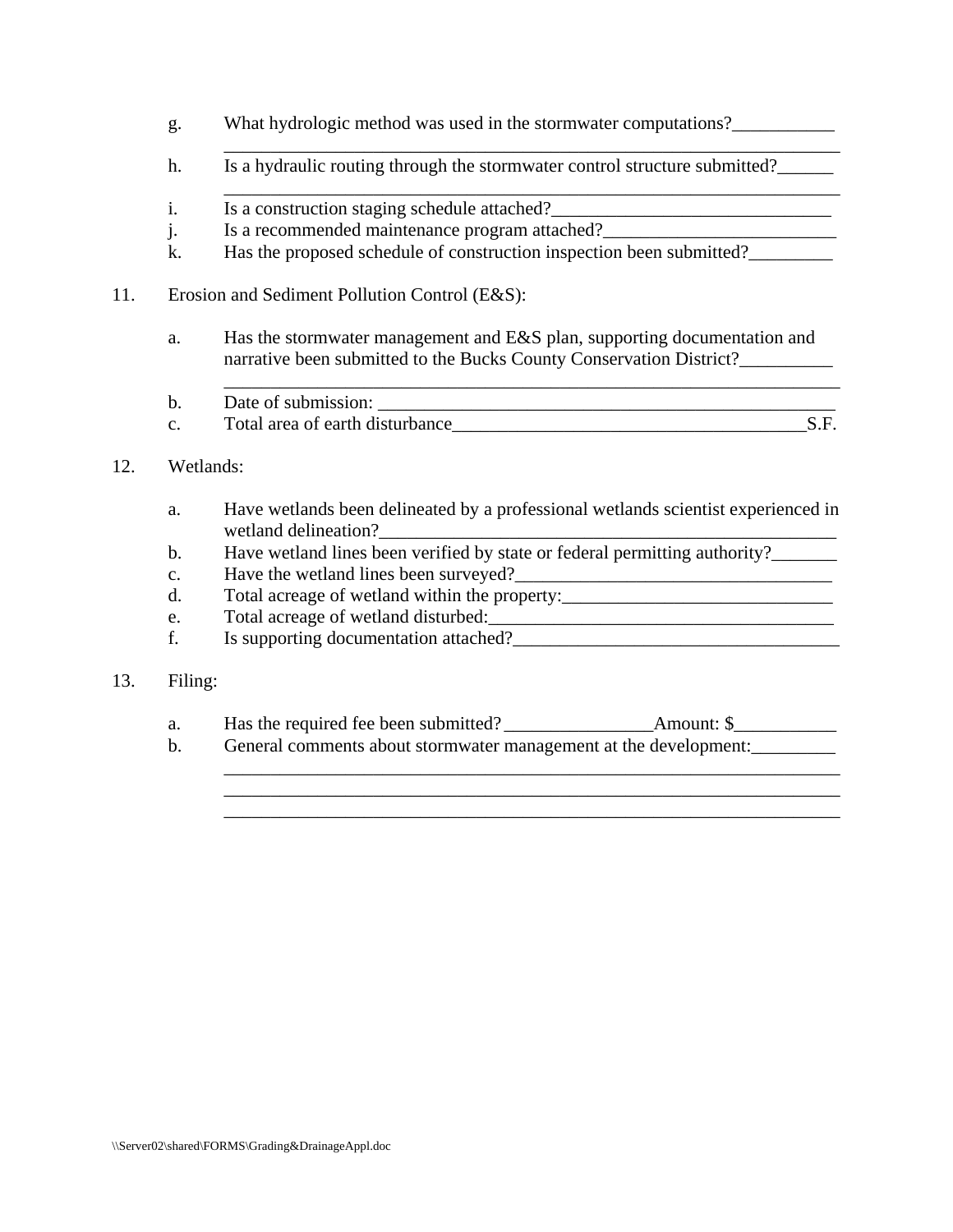- g. What hydrologic method was used in the stormwater computations?\_\_\_\_\_\_\_\_\_\_\_\_\_\_
- \_\_\_\_\_\_\_\_\_\_\_\_\_\_\_\_\_\_\_\_\_\_\_\_\_\_\_\_\_\_\_\_\_\_\_\_\_\_\_\_\_\_\_\_\_\_\_\_\_\_\_\_\_\_\_\_\_\_\_\_\_\_\_\_\_\_ h. Is a hydraulic routing through the stormwater control structure submitted?
- \_\_\_\_\_\_\_\_\_\_\_\_\_\_\_\_\_\_\_\_\_\_\_\_\_\_\_\_\_\_\_\_\_\_\_\_\_\_\_\_\_\_\_\_\_\_\_\_\_\_\_\_\_\_\_\_\_\_\_\_\_\_\_\_\_\_ i. Is a construction staging schedule attached?<br>
<u>Is a</u> construction staging schedule attached?
	- j. Is a recommended maintenance program attached?\_\_\_\_\_\_\_\_\_\_\_\_\_\_\_\_\_\_\_\_\_\_\_\_\_\_\_\_\_\_\_
	- k. Has the proposed schedule of construction inspection been submitted?
- 11. Erosion and Sediment Pollution Control (E&S):
	- a. Has the stormwater management and E&S plan, supporting documentation and narrative been submitted to the Bucks County Conservation District?\_\_\_\_\_\_\_\_\_\_\_\_\_
	- \_\_\_\_\_\_\_\_\_\_\_\_\_\_\_\_\_\_\_\_\_\_\_\_\_\_\_\_\_\_\_\_\_\_\_\_\_\_\_\_\_\_\_\_\_\_\_\_\_\_\_\_\_\_\_\_\_\_\_\_\_\_\_\_\_\_ b. Date of submission: \_\_\_\_\_\_\_\_\_\_\_\_\_\_\_\_\_\_\_\_\_\_\_\_\_\_\_\_\_\_\_\_\_\_\_\_\_\_\_\_\_\_\_\_\_\_\_\_\_ c. Total area of earth disturbance S.F.
- 12. Wetlands:
	- a. Have wetlands been delineated by a professional wetlands scientist experienced in wetland delineation?
	- b. Have wetland lines been verified by state or federal permitting authority?\_\_\_\_\_\_\_
	- c. Have the wetland lines been surveyed?
	- d. Total acreage of wetland within the property: \_\_\_\_\_\_\_\_\_\_\_\_\_\_\_\_\_\_\_\_\_\_\_\_\_\_\_\_\_\_\_\_
	- e. Total acreage of wetland disturbed:
	- f. Is supporting documentation attached?
- 13. Filing:
	- a. Has the required fee been submitted? \_\_\_\_\_\_\_\_\_\_\_\_\_\_\_\_Amount: \$\_\_\_\_\_\_\_\_\_\_\_
- b. General comments about stormwater management at the development: \_\_\_\_\_\_\_\_\_\_\_\_\_\_\_\_\_\_\_\_\_\_\_\_\_\_\_\_\_\_\_\_\_\_\_\_\_\_\_\_\_\_\_\_\_\_\_\_\_\_\_\_\_\_\_\_\_\_\_\_\_\_\_\_\_\_

\_\_\_\_\_\_\_\_\_\_\_\_\_\_\_\_\_\_\_\_\_\_\_\_\_\_\_\_\_\_\_\_\_\_\_\_\_\_\_\_\_\_\_\_\_\_\_\_\_\_\_\_\_\_\_\_\_\_\_\_\_\_\_\_\_\_